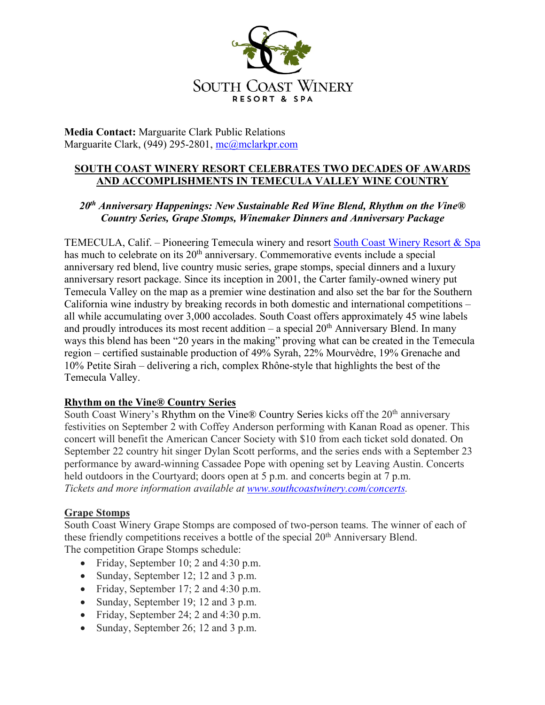

**Media Contact:** Marguarite Clark Public Relations Marguarite Clark, (949) 295-2801, mc@mclarkpr.com

# **SOUTH COAST WINERY RESORT CELEBRATES TWO DECADES OF AWARDS AND ACCOMPLISHMENTS IN TEMECULA VALLEY WINE COUNTRY**

# *20th Anniversary Happenings: New Sustainable Red Wine Blend, Rhythm on the Vine® Country Series, Grape Stomps, Winemaker Dinners and Anniversary Package*

TEMECULA, Calif. – Pioneering Temecula winery and resort South Coast Winery Resort & Spa has much to celebrate on its 20<sup>th</sup> anniversary. Commemorative events include a special anniversary red blend, live country music series, grape stomps, special dinners and a luxury anniversary resort package. Since its inception in 2001, the Carter family-owned winery put Temecula Valley on the map as a premier wine destination and also set the bar for the Southern California wine industry by breaking records in both domestic and international competitions – all while accumulating over 3,000 accolades. South Coast offers approximately 45 wine labels and proudly introduces its most recent addition – a special  $20<sup>th</sup>$  Anniversary Blend. In many ways this blend has been "20 years in the making" proving what can be created in the Temecula region – certified sustainable production of 49% Syrah, 22% Mourvèdre, 19% Grenache and 10% Petite Sirah – delivering a rich, complex Rhône-style that highlights the best of the Temecula Valley.

## **Rhythm on the Vine® Country Series**

South Coast Winery's Rhythm on the Vine® Country Series kicks off the 20<sup>th</sup> anniversary festivities on September 2 with Coffey Anderson performing with Kanan Road as opener. This concert will benefit the American Cancer Society with \$10 from each ticket sold donated. On September 22 country hit singer Dylan Scott performs, and the series ends with a September 23 performance by award-winning Cassadee Pope with opening set by Leaving Austin. Concerts held outdoors in the Courtyard; doors open at 5 p.m. and concerts begin at 7 p.m. *Tickets and more information available at www.southcoastwinery.com/concerts.* 

## **Grape Stomps**

South Coast Winery Grape Stomps are composed of two-person teams. The winner of each of these friendly competitions receives a bottle of the special 20<sup>th</sup> Anniversary Blend. The competition Grape Stomps schedule:

- Friday, September 10; 2 and 4:30 p.m.
- Sunday, September 12; 12 and 3 p.m.
- Friday, September 17; 2 and 4:30 p.m.
- Sunday, September 19; 12 and 3 p.m.
- Friday, September 24; 2 and 4:30 p.m.
- Sunday, September 26; 12 and 3 p.m.